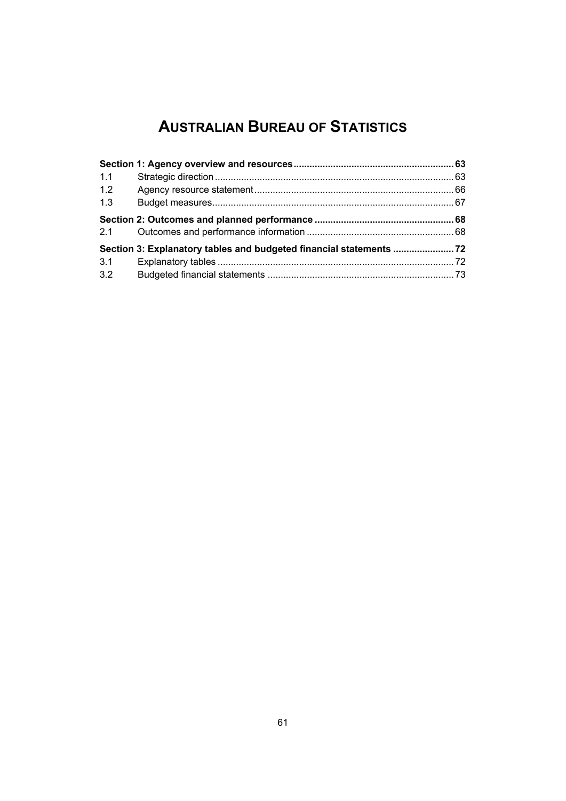# **AUSTRALIAN BUREAU OF STATISTICS**

| 1.1 |  |
|-----|--|
| 1.2 |  |
| 1.3 |  |
| 2.1 |  |
|     |  |
| 3.1 |  |
| 3.2 |  |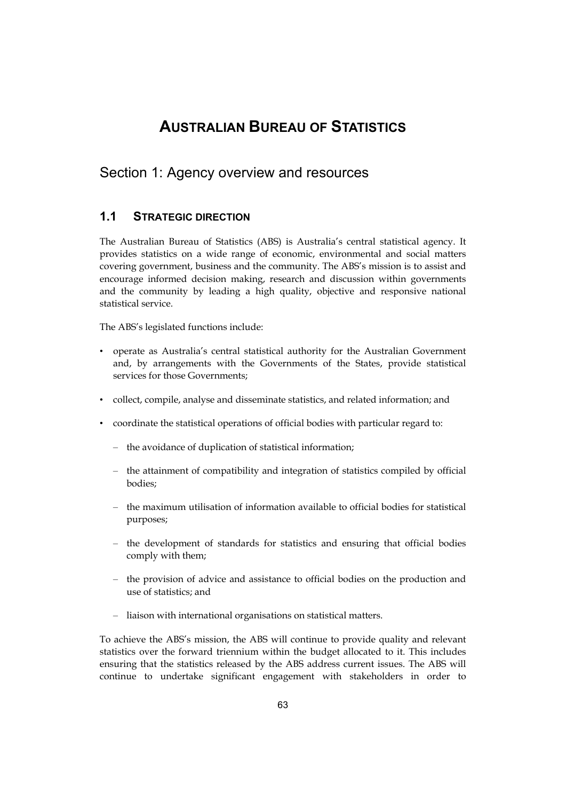# **AUSTRALIAN BUREAU OF STATISTICS**

## <span id="page-2-0"></span>Section 1: Agency overview and resources

## **1.1 STRATEGIC DIRECTION**

 and the community by leading a high quality, objective and responsive national The Australian Bureau of Statistics (ABS) is Australia's central statistical agency. It provides statistics on a wide range of economic, environmental and social matters covering government, business and the community. The ABS's mission is to assist and encourage informed decision making, research and discussion within governments statistical service.

The ABS's legislated functions include:

- • operate as Australia's central statistical authority for the Australian Government and, by arrangements with the Governments of the States, provide statistical services for those Governments;
- • collect, compile, analyse and disseminate statistics, and related information; and
- • coordinate the statistical operations of official bodies with particular regard to:
	- the avoidance of duplication of statistical information;
	- the attainment of compatibility and integration of statistics compiled by official bodies;
	- – the maximum utilisation of information available to official bodies for statistical purposes;
	- the development of standards for statistics and ensuring that official bodies comply with them;
	- the provision of advice and assistance to official bodies on the production and use of statistics; and
	- liaison with international organisations on statistical matters.

To achieve the ABS's mission, the ABS will continue to provide quality and relevant statistics over the forward triennium within the budget allocated to it. This includes ensuring that the statistics released by the ABS address current issues. The ABS will continue to undertake significant engagement with stakeholders in order to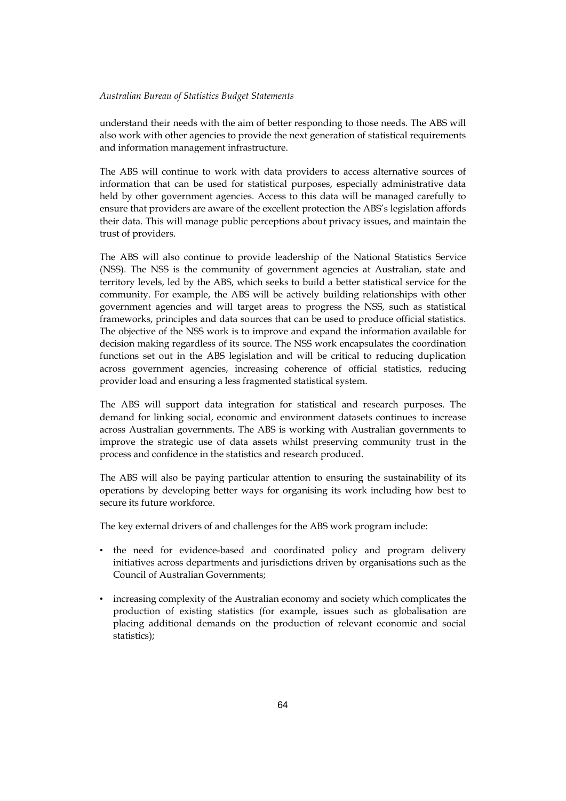understand their needs with the aim of better responding to those needs. The ABS will also work with other agencies to provide the next generation of statistical requirements and information management infrastructure.

The ABS will continue to work with data providers to access alternative sources of information that can be used for statistical purposes, especially administrative data held by other government agencies. Access to this data will be managed carefully to ensure that providers are aware of the excellent protection the ABS's legislation affords their data. This will manage public perceptions about privacy issues, and maintain the trust of providers.

 (NSS). The NSS is the community of government agencies at Australian, state and The ABS will also continue to provide leadership of the National Statistics Service territory levels, led by the ABS, which seeks to build a better statistical service for the community. For example, the ABS will be actively building relationships with other government agencies and will target areas to progress the NSS, such as statistical frameworks, principles and data sources that can be used to produce official statistics. The objective of the NSS work is to improve and expand the information available for decision making regardless of its source. The NSS work encapsulates the coordination functions set out in the ABS legislation and will be critical to reducing duplication across government agencies, increasing coherence of official statistics, reducing provider load and ensuring a less fragmented statistical system.

 improve the strategic use of data assets whilst preserving community trust in the The ABS will support data integration for statistical and research purposes. The demand for linking social, economic and environment datasets continues to increase across Australian governments. The ABS is working with Australian governments to process and confidence in the statistics and research produced.

The ABS will also be paying particular attention to ensuring the sustainability of its operations by developing better ways for organising its work including how best to secure its future workforce.

The key external drivers of and challenges for the ABS work program include:

- the need for evidence-based and coordinated policy and program delivery initiatives across departments and jurisdictions driven by organisations such as the Council of Australian Governments;
- • increasing complexity of the Australian economy and society which complicates the production of existing statistics (for example, issues such as globalisation are placing additional demands on the production of relevant economic and social statistics);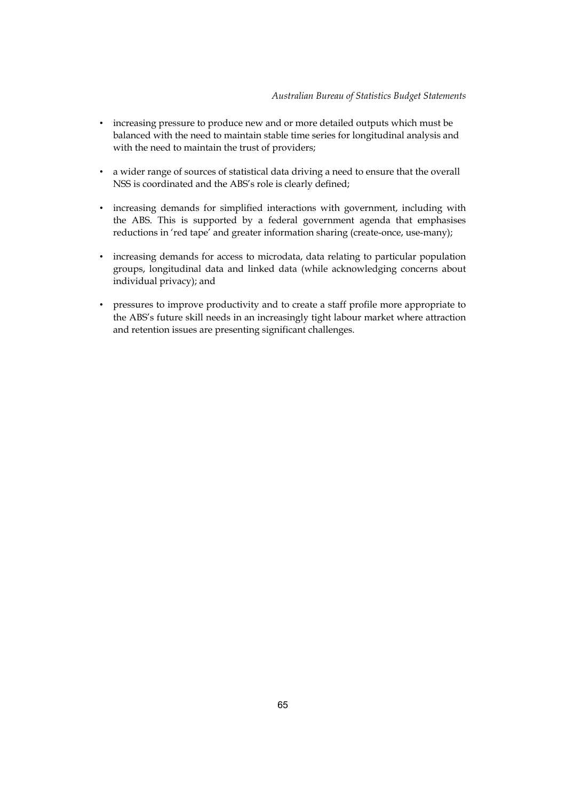- • increasing pressure to produce new and or more detailed outputs which must be balanced with the need to maintain stable time series for longitudinal analysis and with the need to maintain the trust of providers;
- • a wider range of sources of statistical data driving a need to ensure that the overall NSS is coordinated and the ABS's role is clearly defined;
- • increasing demands for simplified interactions with government, including with the ABS. This is supported by a federal government agenda that emphasises reductions in 'red tape' and greater information sharing (create-once, use-many);
- • increasing demands for access to microdata, data relating to particular population groups, longitudinal data and linked data (while acknowledging concerns about individual privacy); and
- • pressures to improve productivity and to create a staff profile more appropriate to the ABS's future skill needs in an increasingly tight labour market where attraction and retention issues are presenting significant challenges.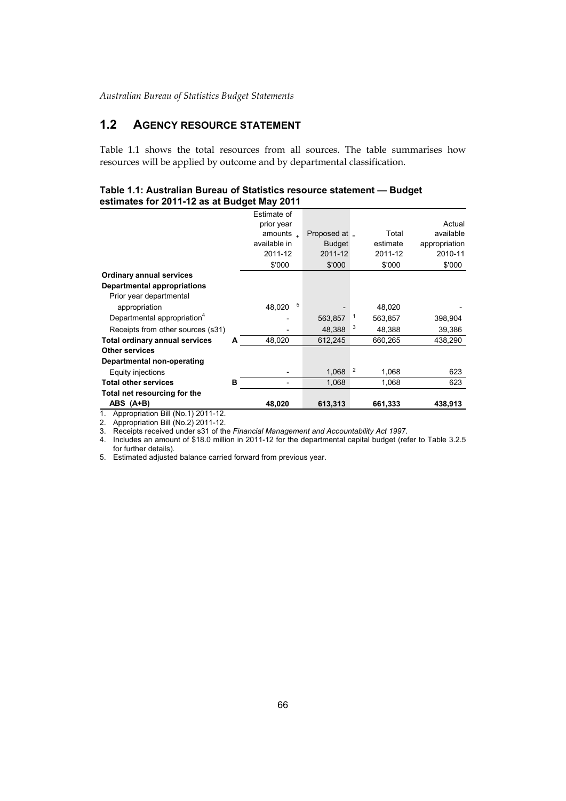## **1.2 AGENCY RESOURCE STATEMENT**

Table 1.1 shows the total resources from all sources. The table summarises how resources will be applied by outcome and by departmental classification.

#### **Table 1.1: Australian Bureau of Statistics resource statement — Budget estimates for 2011-12 as at Budget May 2011**

|                                               |   | Estimate of            |               |                |          |               |
|-----------------------------------------------|---|------------------------|---------------|----------------|----------|---------------|
|                                               |   | prior year             |               |                |          | Actual        |
|                                               |   | amounts $\overline{1}$ | Proposed at _ |                | Total    | available     |
|                                               |   | available in           | <b>Budget</b> |                | estimate | appropriation |
|                                               |   | 2011-12                | 2011-12       |                | 2011-12  | 2010-11       |
|                                               |   | \$'000                 | \$'000        |                | \$'000   | \$'000        |
| <b>Ordinary annual services</b>               |   |                        |               |                |          |               |
| Departmental appropriations                   |   |                        |               |                |          |               |
| Prior year departmental                       |   |                        |               |                |          |               |
| appropriation                                 |   | 5<br>48,020            |               |                | 48,020   |               |
| Departmental appropriation <sup>4</sup>       |   |                        | 563,857       |                | 563,857  | 398,904       |
| Receipts from other sources (s31)             |   |                        | 48.388        | 3              | 48,388   | 39,386        |
| Total ordinary annual services                | А | 48.020                 | 612,245       |                | 660.265  | 438,290       |
| <b>Other services</b>                         |   |                        |               |                |          |               |
| Departmental non-operating                    |   |                        |               |                |          |               |
| Equity injections                             |   |                        | 1.068         | $\overline{2}$ | 1.068    | 623           |
| <b>Total other services</b>                   | в |                        | 1,068         |                | 1,068    | 623           |
| Total net resourcing for the                  |   |                        |               |                |          |               |
| ABS (A+B)                                     |   | 48,020                 | 613,313       |                | 661,333  | 438,913       |
| Appropriation Dill (No. $4\sqrt{2044}$ , $42$ |   |                        |               |                |          |               |

1. Appropriation Bill (No.1) 2011-12.

2. 3. Appropriation Bill (No.2) 2011-12. Receipts received under s31 of the *Financial Management and Accountability Act 1997*.

4. Includes an amount of \$18.0 million in 2011-12 for the departmental capital budget (refer to Table 3.2.5 for further details).

5. Estimated adjusted balance carried forward from previous year.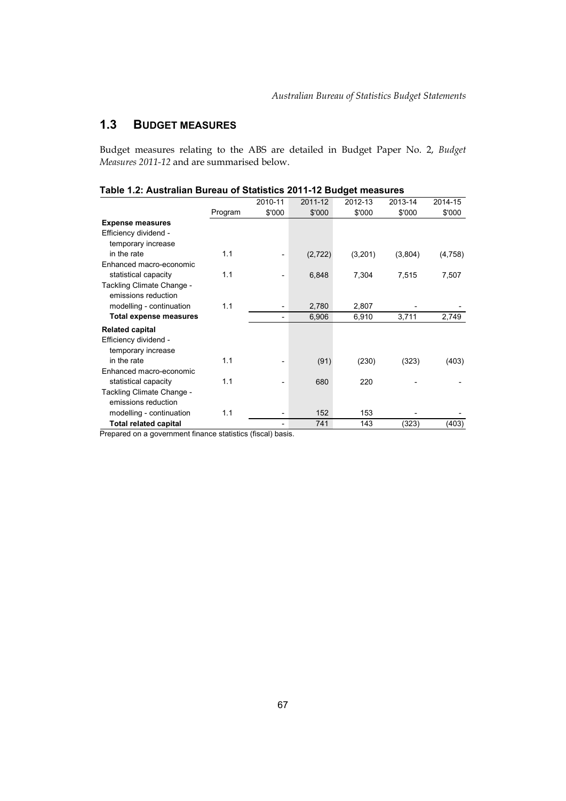## **1.3 BUDGET MEASURES**

Budget measures relating to the ABS are detailed in Budget Paper No. 2, *Budget Measures 2011-12* and are summarised below.

|                               |         |         |          | Э       |         |         |
|-------------------------------|---------|---------|----------|---------|---------|---------|
|                               |         | 2010-11 | 2011-12  | 2012-13 | 2013-14 | 2014-15 |
|                               | Program | \$'000  | \$'000   | \$'000  | \$'000  | \$'000  |
| <b>Expense measures</b>       |         |         |          |         |         |         |
| Efficiency dividend -         |         |         |          |         |         |         |
| temporary increase            |         |         |          |         |         |         |
| in the rate                   | 1.1     |         | (2, 722) | (3,201) | (3,804) | (4,758) |
| Enhanced macro-economic       |         |         |          |         |         |         |
| statistical capacity          | 1.1     |         | 6,848    | 7,304   | 7,515   | 7,507   |
| Tackling Climate Change -     |         |         |          |         |         |         |
| emissions reduction           |         |         |          |         |         |         |
| modelling - continuation      | 1.1     |         | 2,780    | 2,807   |         |         |
| <b>Total expense measures</b> |         |         | 6,906    | 6,910   | 3,711   | 2,749   |
| <b>Related capital</b>        |         |         |          |         |         |         |
| Efficiency dividend -         |         |         |          |         |         |         |
| temporary increase            |         |         |          |         |         |         |
| in the rate                   | 1.1     |         | (91)     | (230)   | (323)   | (403)   |
| Enhanced macro-economic       |         |         |          |         |         |         |
| statistical capacity          | 1.1     |         | 680      | 220     |         |         |
| Tackling Climate Change -     |         |         |          |         |         |         |
| emissions reduction           |         |         |          |         |         |         |
| modelling - continuation      | 1.1     |         | 152      | 153     |         |         |
| <b>Total related capital</b>  |         |         | 741      | 143     | (323)   | (403)   |

## **Table 1.2: Australian Bureau of Statistics 2011-12 Budget measures**

Prepared on a government finance statistics (fiscal) basis.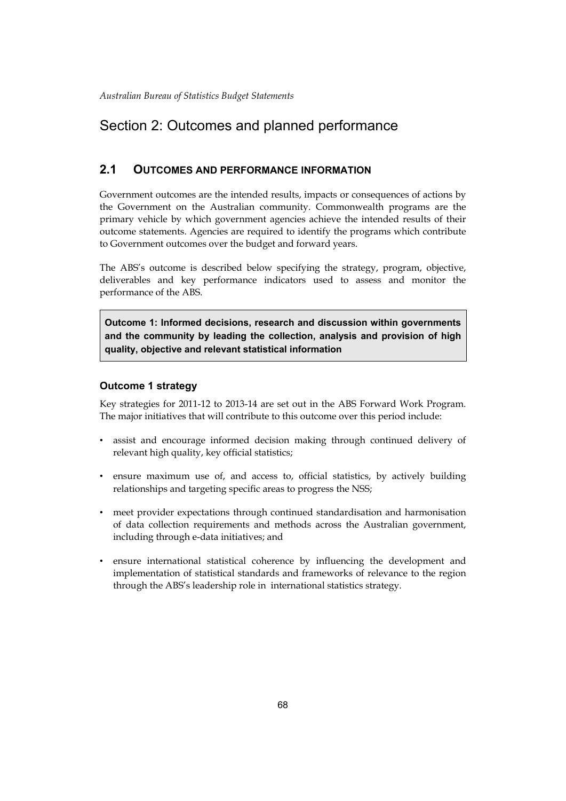# <span id="page-7-0"></span>Section 2: Outcomes and planned performance

## **2.1 OUTCOMES AND PERFORMANCE INFORMATION**

 Government outcomes are the intended results, impacts or consequences of actions by the Government on the Australian community. Commonwealth programs are the primary vehicle by which government agencies achieve the intended results of their outcome statements. Agencies are required to identify the programs which contribute to Government outcomes over the budget and forward years.

The ABS's outcome is described below specifying the strategy, program, objective, deliverables and key performance indicators used to assess and monitor the performance of the ABS.

**Outcome 1: Informed decisions, research and discussion within governments and the community by leading the collection, analysis and provision of high quality, objective and relevant statistical information** 

## **Outcome 1 strategy**

Key strategies for 2011-12 to 2013-14 are set out in the ABS Forward Work Program. The major initiatives that will contribute to this outcome over this period include:

- assist and encourage informed decision making through continued delivery of relevant high quality, key official statistics;
- • ensure maximum use of, and access to, official statistics, by actively building relationships and targeting specific areas to progress the NSS;
- • meet provider expectations through continued standardisation and harmonisation of data collection requirements and methods across the Australian government, including through e-data initiatives; and
- through the ABS's leadership role in international statistics strategy. • ensure international statistical coherence by influencing the development and implementation of statistical standards and frameworks of relevance to the region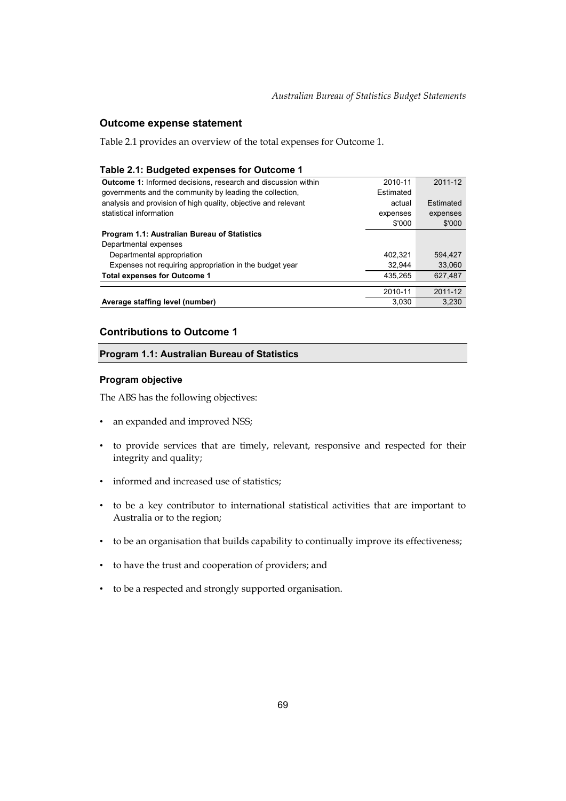## **Outcome expense statement**

Table 2.1 provides an overview of the total expenses for Outcome 1.

#### **Table 2.1: Budgeted expenses for Outcome 1**

| <b>Outcome 1:</b> Informed decisions, research and discussion within | 2010-11   | 2011-12   |
|----------------------------------------------------------------------|-----------|-----------|
| governments and the community by leading the collection,             | Estimated |           |
| analysis and provision of high quality, objective and relevant       | actual    | Estimated |
| statistical information                                              | expenses  | expenses  |
|                                                                      | \$'000    | \$'000    |
| Program 1.1: Australian Bureau of Statistics                         |           |           |
| Departmental expenses                                                |           |           |
| Departmental appropriation                                           | 402.321   | 594.427   |
| Expenses not requiring appropriation in the budget year              | 32.944    | 33.060    |
| <b>Total expenses for Outcome 1</b>                                  | 435.265   | 627.487   |
|                                                                      |           |           |
|                                                                      | 2010-11   | 2011-12   |
| Average staffing level (number)                                      | 3,030     | 3,230     |

## **Contributions to Outcome 1**

#### **Program 1.1: Australian Bureau of Statistics**

#### **Program objective**

The ABS has the following objectives:

- an expanded and improved NSS;
- • to provide services that are timely, relevant, responsive and respected for their integrity and quality;
- informed and increased use of statistics;
- • to be a key contributor to international statistical activities that are important to Australia or to the region;
- to be an organisation that builds capability to continually improve its effectiveness;
- • to have the trust and cooperation of providers; and
- • to be a respected and strongly supported organisation.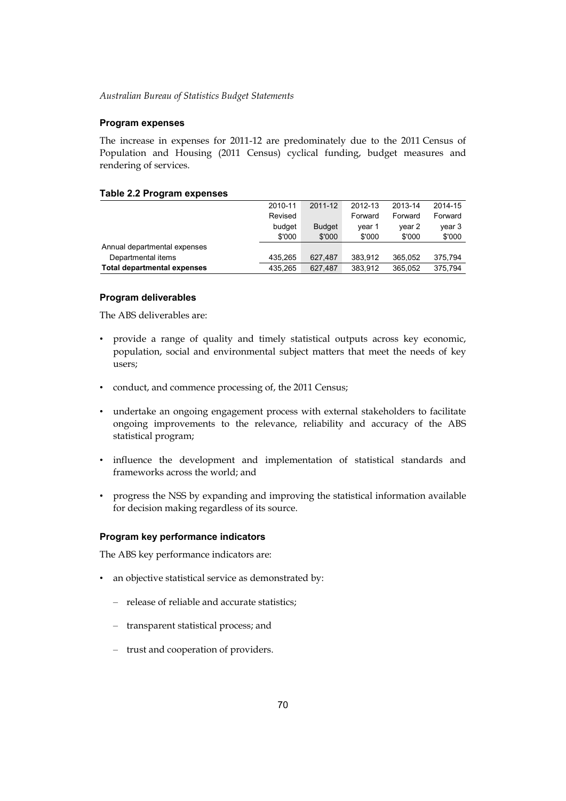#### **Program expenses**

The increase in expenses for 2011-12 are predominately due to the 2011 Census of Population and Housing (2011 Census) cyclical funding, budget measures and rendering of services.

#### **Table 2.2 Program expenses**

| Departmental items<br><b>Total departmental expenses</b> | 435.265<br>435.265 | 627.487<br>627.487 | 383.912<br>383.912 | 365.052<br>365.052 | 375.794<br>375.794 |
|----------------------------------------------------------|--------------------|--------------------|--------------------|--------------------|--------------------|
| Annual departmental expenses                             |                    |                    |                    |                    |                    |
|                                                          | \$'000             | \$'000             | \$'000             | \$'000             | \$'000             |
|                                                          | budget             | <b>Budget</b>      | vear 1             | vear 2             | year 3             |
|                                                          | Revised            |                    | Forward            | Forward            | Forward            |
|                                                          | 2010-11            | 2011-12            | 2012-13            | 2013-14            | 2014-15            |

#### **Program deliverables**

The ABS deliverables are:

- • provide a range of quality and timely statistical outputs across key economic, population, social and environmental subject matters that meet the needs of key users;
- • conduct, and commence processing of, the 2011 Census;
- undertake an ongoing engagement process with external stakeholders to facilitate ongoing improvements to the relevance, reliability and accuracy of the ABS statistical program;
- • influence the development and implementation of statistical standards and frameworks across the world; and
- • progress the NSS by expanding and improving the statistical information available for decision making regardless of its source.

#### **Program key performance indicators**

The ABS key performance indicators are:

- an objective statistical service as demonstrated by:
	- – release of reliable and accurate statistics;
	- – transparent statistical process; and
	- – trust and cooperation of providers.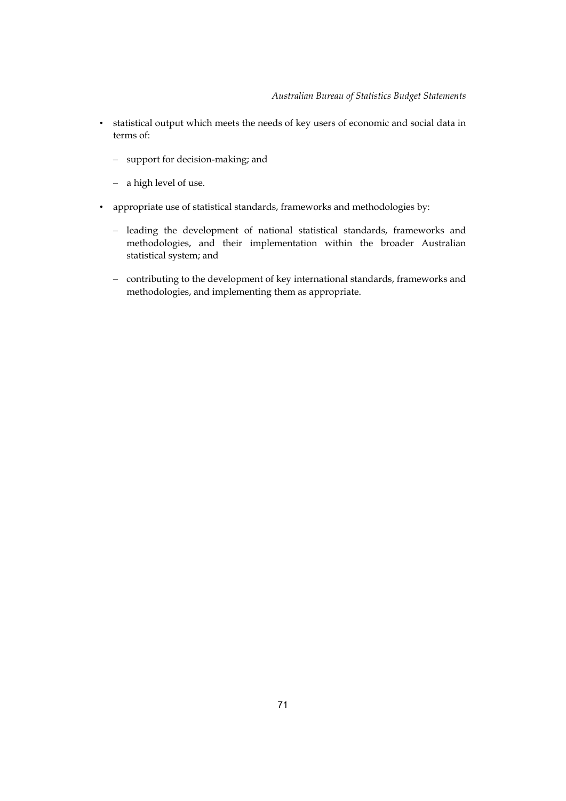- • statistical output which meets the needs of key users of economic and social data in terms of:
	- – support for decision-making; and
	- – a high level of use.
- • appropriate use of statistical standards, frameworks and methodologies by:
	- – leading the development of national statistical standards, frameworks and methodologies, and their implementation within the broader Australian statistical system; and
	- contributing to the development of key international standards, frameworks and methodologies, and implementing them as appropriate.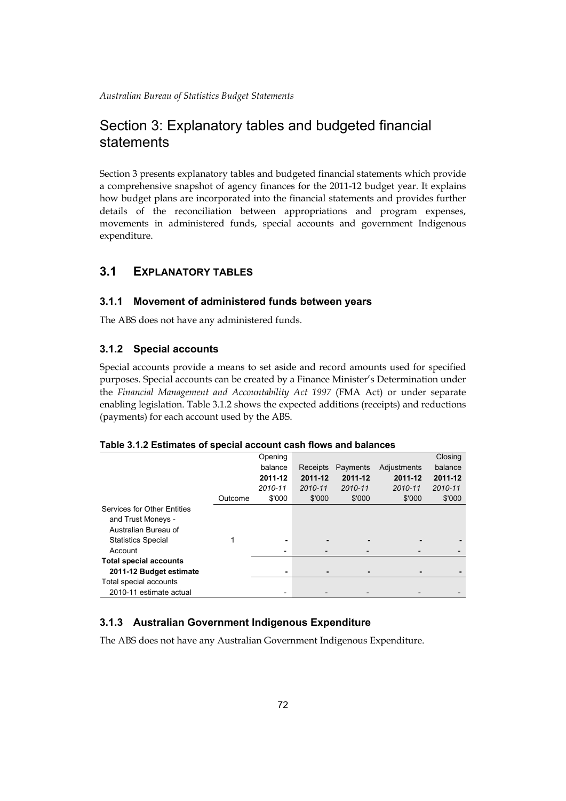# Section 3: Explanatory tables and budgeted financial statements

Section 3 presents explanatory tables and budgeted financial statements which provide a comprehensive snapshot of agency finances for the 2011-12 budget year. It explains how budget plans are incorporated into the financial statements and provides further details of the reconciliation between appropriations and program expenses, movements in administered funds, special accounts and government Indigenous expenditure.

## **3.1 EXPLANATORY TABLES**

## **3.1.1 Movement of administered funds between years**

The ABS does not have any administered funds.

## **3.1.2 Special accounts**

Special accounts provide a means to set aside and record amounts used for specified purposes. Special accounts can be created by a Finance Minister's Determination under the *Financial Management and Accountability Act 1997* (FMA Act) or under separate enabling legislation. Table 3.1.2 shows the expected additions (receipts) and reductions (payments) for each account used by the ABS.

### **Table 3.1.2 Estimates of special account cash flows and balances**

|                                    |         | Opening |                |          |             | Closing |
|------------------------------------|---------|---------|----------------|----------|-------------|---------|
|                                    |         | balance | Receipts       | Payments | Adjustments | balance |
|                                    |         | 2011-12 | 2011-12        | 2011-12  | 2011-12     | 2011-12 |
|                                    |         | 2010-11 | 2010-11        | 2010-11  | 2010-11     | 2010-11 |
|                                    | Outcome | \$'000  | \$'000         | \$'000   | \$'000      | \$'000  |
| <b>Services for Other Entities</b> |         |         |                |          |             |         |
| and Trust Moneys -                 |         |         |                |          |             |         |
| Australian Bureau of               |         |         |                |          |             |         |
| <b>Statistics Special</b>          |         |         | ٠              |          |             |         |
| Account                            |         |         |                |          |             |         |
| <b>Total special accounts</b>      |         |         |                |          |             |         |
| 2011-12 Budget estimate            |         | ۰       | $\blacksquare$ |          |             |         |
| Total special accounts             |         |         |                |          |             |         |
| 2010-11 estimate actual            |         |         |                |          |             |         |

## **3.1.3 Australian Government Indigenous Expenditure**

The ABS does not have any Australian Government Indigenous Expenditure.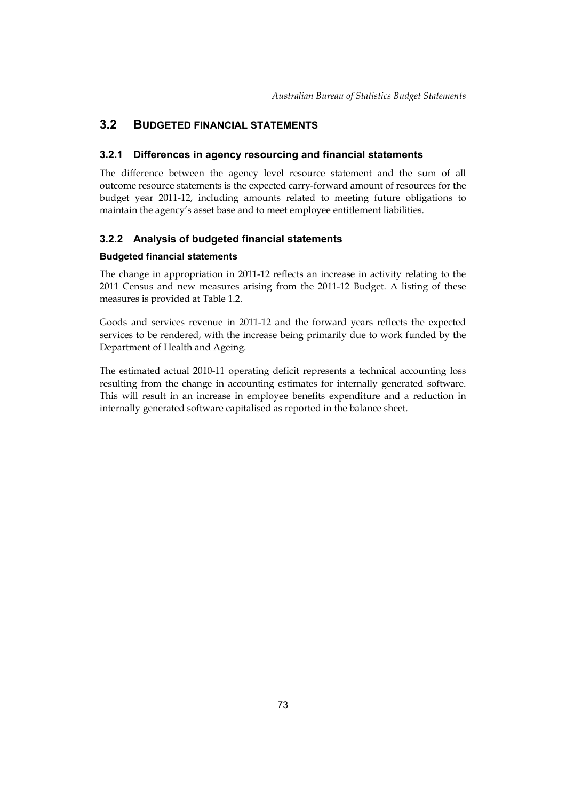## <span id="page-12-0"></span>**3.2 BUDGETED FINANCIAL STATEMENTS**

## **3.2.1 Differences in agency resourcing and financial statements**

The difference between the agency level resource statement and the sum of all outcome resource statements is the expected carry-forward amount of resources for the budget year 2011-12, including amounts related to meeting future obligations to maintain the agency's asset base and to meet employee entitlement liabilities.

## **3.2.2 Analysis of budgeted financial statements**

## **Budgeted financial statements**

The change in appropriation in 2011-12 reflects an increase in activity relating to the 2011 Census and new measures arising from the 2011-12 Budget. A listing of these measures is provided at Table 1.2.

 Department of Health and Ageing. Goods and services revenue in 2011-12 and the forward years reflects the expected services to be rendered, with the increase being primarily due to work funded by the

The estimated actual 2010-11 operating deficit represents a technical accounting loss resulting from the change in accounting estimates for internally generated software. This will result in an increase in employee benefits expenditure and a reduction in internally generated software capitalised as reported in the balance sheet.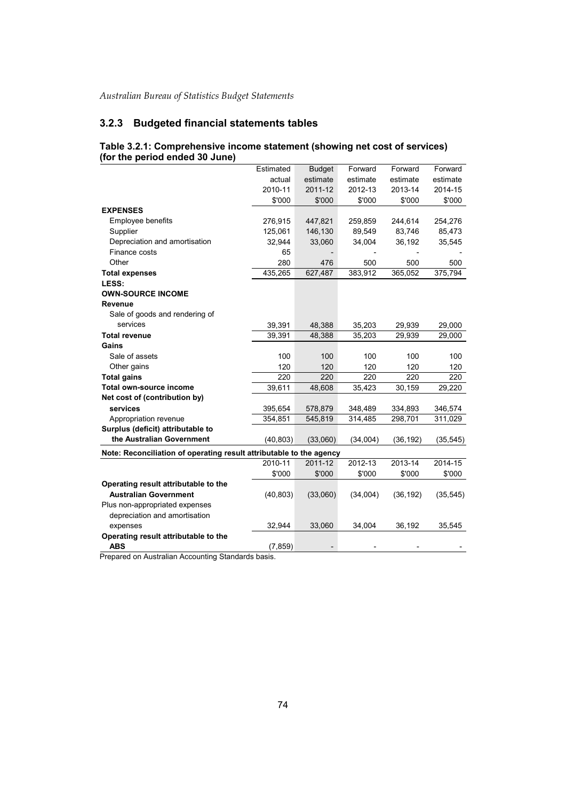## **3.2.3 Budgeted financial statements tables**

|                                                                     | Estimated | <b>Budget</b> | Forward  | Forward   | Forward   |
|---------------------------------------------------------------------|-----------|---------------|----------|-----------|-----------|
|                                                                     | actual    | estimate      | estimate | estimate  | estimate  |
|                                                                     | 2010-11   | 2011-12       | 2012-13  | 2013-14   | 2014-15   |
|                                                                     | \$'000    | \$'000        | \$'000   | \$'000    | \$'000    |
| <b>EXPENSES</b>                                                     |           |               |          |           |           |
| Employee benefits                                                   | 276,915   | 447,821       | 259,859  | 244,614   | 254,276   |
| Supplier                                                            | 125,061   | 146,130       | 89,549   | 83,746    | 85,473    |
| Depreciation and amortisation                                       | 32,944    | 33,060        | 34,004   | 36,192    | 35,545    |
| Finance costs                                                       | 65        |               |          |           |           |
| Other                                                               | 280       | 476           | 500      | 500       | 500       |
| <b>Total expenses</b>                                               | 435,265   | 627,487       | 383,912  | 365,052   | 375,794   |
| LESS:                                                               |           |               |          |           |           |
| <b>OWN-SOURCE INCOME</b>                                            |           |               |          |           |           |
| <b>Revenue</b>                                                      |           |               |          |           |           |
| Sale of goods and rendering of                                      |           |               |          |           |           |
| services                                                            | 39,391    | 48,388        | 35,203   | 29,939    | 29,000    |
| <b>Total revenue</b>                                                | 39,391    | 48,388        | 35,203   | 29,939    | 29,000    |
| Gains                                                               |           |               |          |           |           |
| Sale of assets                                                      | 100       | 100           | 100      | 100       | 100       |
| Other gains                                                         | 120       | 120           | 120      | 120       | 120       |
| <b>Total gains</b>                                                  | 220       | 220           | 220      | 220       | 220       |
| Total own-source income                                             | 39,611    | 48,608        | 35,423   | 30,159    | 29,220    |
| Net cost of (contribution by)                                       |           |               |          |           |           |
| services                                                            | 395,654   | 578,879       | 348,489  | 334,893   | 346,574   |
| Appropriation revenue                                               | 354,851   | 545,819       | 314,485  | 298,701   | 311,029   |
| Surplus (deficit) attributable to                                   |           |               |          |           |           |
| the Australian Government                                           | (40, 803) | (33,060)      | (34,004) | (36, 192) | (35, 545) |
| Note: Reconciliation of operating result attributable to the agency |           |               |          |           |           |
|                                                                     | 2010-11   | 2011-12       | 2012-13  | 2013-14   | 2014-15   |
|                                                                     | \$'000    | \$'000        | \$'000   | \$'000    | \$'000    |
| Operating result attributable to the                                |           |               |          |           |           |
| <b>Australian Government</b>                                        | (40, 803) | (33,060)      | (34,004) | (36, 192) | (35, 545) |
| Plus non-appropriated expenses                                      |           |               |          |           |           |
| depreciation and amortisation                                       |           |               |          |           |           |
| expenses                                                            | 32,944    | 33,060        | 34,004   | 36,192    | 35,545    |
| Operating result attributable to the                                |           |               |          |           |           |
| <b>ABS</b>                                                          | (7, 859)  |               |          |           |           |

#### **Table 3.2.1: Comprehensive income statement (showing net cost of services) (for the period ended 30 June)**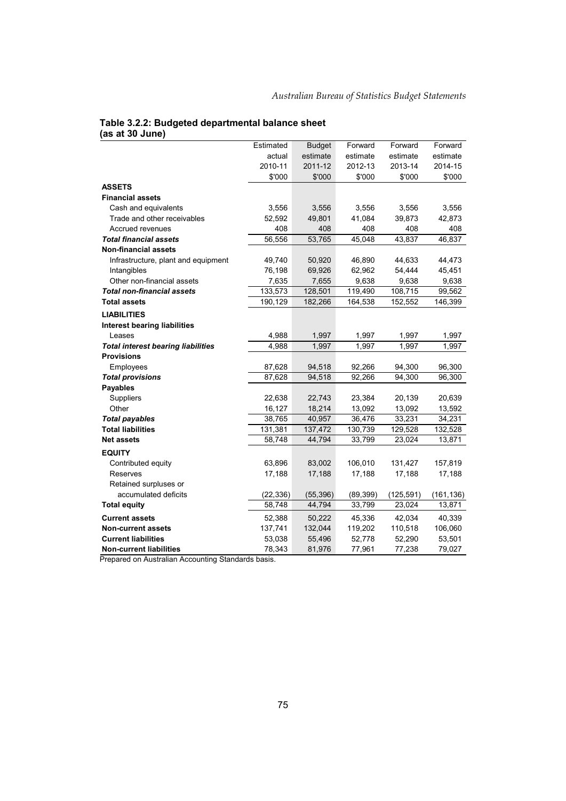#### **Table 3.2.2: Budgeted departmental balance sheet (as at 30 June)**

|                                           | Estimated | <b>Budget</b> | Forward   | Forward    | Forward    |
|-------------------------------------------|-----------|---------------|-----------|------------|------------|
|                                           | actual    | estimate      | estimate  | estimate   | estimate   |
|                                           | 2010-11   | 2011-12       | 2012-13   | 2013-14    | 2014-15    |
|                                           | \$'000    | \$'000        | \$'000    | \$'000     | \$'000     |
| <b>ASSETS</b>                             |           |               |           |            |            |
| <b>Financial assets</b>                   |           |               |           |            |            |
| Cash and equivalents                      | 3,556     | 3,556         | 3,556     | 3,556      | 3,556      |
| Trade and other receivables               | 52,592    | 49,801        | 41,084    | 39,873     | 42,873     |
| Accrued revenues                          | 408       | 408           | 408       | 408        | 408        |
| <b>Total financial assets</b>             | 56,556    | 53,765        | 45,048    | 43,837     | 46,837     |
| <b>Non-financial assets</b>               |           |               |           |            |            |
| Infrastructure, plant and equipment       | 49,740    | 50,920        | 46,890    | 44,633     | 44,473     |
| Intangibles                               | 76,198    | 69,926        | 62,962    | 54,444     | 45,451     |
| Other non-financial assets                | 7,635     | 7,655         | 9,638     | 9,638      | 9,638      |
| <b>Total non-financial assets</b>         | 133,573   | 128,501       | 119,490   | 108,715    | 99,562     |
| <b>Total assets</b>                       | 190,129   | 182,266       | 164,538   | 152,552    | 146,399    |
| <b>LIABILITIES</b>                        |           |               |           |            |            |
| <b>Interest bearing liabilities</b>       |           |               |           |            |            |
| Leases                                    | 4,988     | 1,997         | 1,997     | 1,997      | 1,997      |
| <b>Total interest bearing liabilities</b> | 4,988     | 1,997         | 1,997     | 1,997      | 1,997      |
| Provisions                                |           |               |           |            |            |
| Employees                                 | 87,628    | 94,518        | 92,266    | 94,300     | 96,300     |
| <b>Total provisions</b>                   | 87,628    | 94,518        | 92,266    | 94,300     | 96,300     |
| <b>Payables</b>                           |           |               |           |            |            |
| Suppliers                                 | 22,638    | 22,743        | 23,384    | 20,139     | 20,639     |
| Other                                     | 16,127    | 18,214        | 13,092    | 13,092     | 13,592     |
| <b>Total payables</b>                     | 38,765    | 40,957        | 36,476    | 33,231     | 34,231     |
| <b>Total liabilities</b>                  | 131,381   | 137,472       | 130,739   | 129,528    | 132,528    |
| <b>Net assets</b>                         | 58,748    | 44,794        | 33,799    | 23,024     | 13,871     |
| <b>EQUITY</b>                             |           |               |           |            |            |
| Contributed equity                        | 63,896    | 83,002        | 106,010   | 131,427    | 157,819    |
| Reserves                                  | 17,188    | 17,188        | 17,188    | 17,188     | 17,188     |
| Retained surpluses or                     |           |               |           |            |            |
| accumulated deficits                      | (22, 336) | (55, 396)     | (89, 399) | (125, 591) | (161, 136) |
| <b>Total equity</b>                       | 58,748    | 44,794        | 33,799    | 23,024     | 13,871     |
| <b>Current assets</b>                     | 52,388    | 50,222        | 45,336    | 42,034     | 40,339     |
| <b>Non-current assets</b>                 | 137,741   | 132,044       | 119,202   | 110,518    | 106,060    |
| <b>Current liabilities</b>                | 53,038    | 55,496        | 52,778    | 52,290     | 53,501     |
| <b>Non-current liabilities</b>            | 78,343    | 81,976        | 77,961    | 77,238     | 79,027     |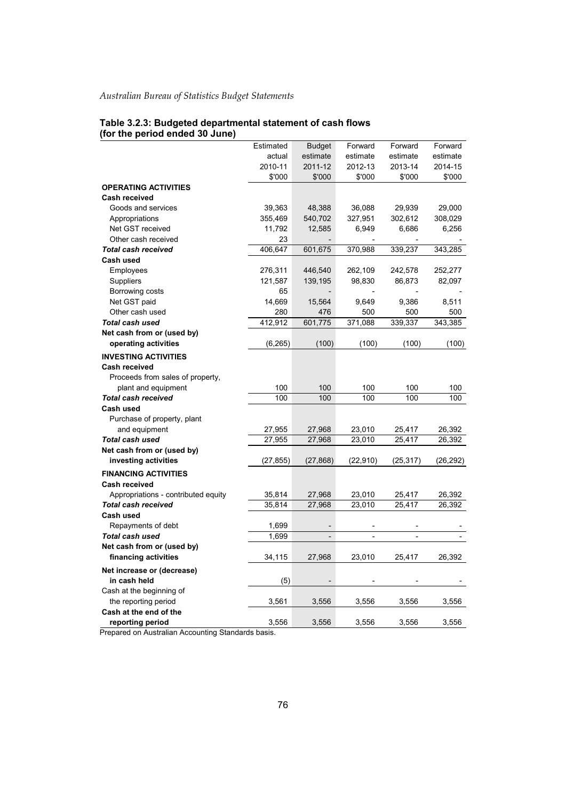# **Table 3.2.3: Budgeted departmental statement of cash flows (for the period ended 30 June)**

|                                     | Estimated | <b>Budget</b>            | Forward   | Forward        | Forward   |
|-------------------------------------|-----------|--------------------------|-----------|----------------|-----------|
|                                     | actual    | estimate                 | estimate  | estimate       | estimate  |
|                                     | 2010-11   | 2011-12                  | 2012-13   | 2013-14        | 2014-15   |
|                                     | \$'000    | \$'000                   | \$'000    | \$'000         | \$'000    |
| <b>OPERATING ACTIVITIES</b>         |           |                          |           |                |           |
| Cash received                       |           |                          |           |                |           |
| Goods and services                  | 39,363    | 48,388                   | 36,088    | 29,939         | 29,000    |
| Appropriations                      | 355,469   | 540,702                  | 327,951   | 302,612        | 308,029   |
| Net GST received                    | 11,792    | 12,585                   | 6,949     | 6,686          | 6,256     |
| Other cash received                 | 23        |                          |           |                |           |
| <b>Total cash received</b>          | 406,647   | 601,675                  | 370,988   | 339,237        | 343,285   |
| Cash used                           |           |                          |           |                |           |
| Employees                           | 276,311   | 446,540                  | 262,109   | 242,578        | 252,277   |
| Suppliers                           | 121,587   | 139,195                  | 98,830    | 86,873         | 82,097    |
| Borrowing costs                     | 65        |                          |           |                |           |
| Net GST paid                        | 14,669    | 15,564                   | 9,649     | 9,386          | 8,511     |
| Other cash used                     | 280       | 476                      | 500       | 500            | 500       |
| <b>Total cash used</b>              | 412,912   | 601,775                  | 371,088   | 339,337        | 343,385   |
| Net cash from or (used by)          |           |                          |           |                |           |
| operating activities                | (6,265)   | (100)                    | (100)     | (100)          | (100)     |
| <b>INVESTING ACTIVITIES</b>         |           |                          |           |                |           |
| Cash received                       |           |                          |           |                |           |
| Proceeds from sales of property,    |           |                          |           |                |           |
| plant and equipment                 | 100       | 100                      | 100       | 100            | 100       |
| <b>Total cash received</b>          | 100       | 100                      | 100       | 100            | 100       |
| Cash used                           |           |                          |           |                |           |
| Purchase of property, plant         |           |                          |           |                |           |
| and equipment                       | 27,955    | 27,968                   | 23,010    | 25,417         | 26,392    |
| <b>Total cash used</b>              | 27,955    | 27,968                   | 23,010    | 25,417         | 26,392    |
| Net cash from or (used by)          |           |                          |           |                |           |
| investing activities                | (27,855)  | (27,868)                 | (22, 910) | (25, 317)      | (26, 292) |
| <b>FINANCING ACTIVITIES</b>         |           |                          |           |                |           |
| <b>Cash received</b>                |           |                          |           |                |           |
| Appropriations - contributed equity | 35,814    | 27,968                   | 23,010    | 25,417         | 26,392    |
| <b>Total cash received</b>          | 35,814    | 27,968                   | 23,010    | 25,417         | 26,392    |
| Cash used                           |           |                          |           |                |           |
| Repayments of debt                  | 1,699     |                          |           |                |           |
| Total cash used                     | 1,699     | $\overline{\phantom{a}}$ |           | $\overline{a}$ |           |
| Net cash from or (used by)          |           |                          |           |                |           |
| financing activities                | 34,115    | 27,968                   | 23,010    | 25,417         | 26,392    |
| Net increase or (decrease)          |           |                          |           |                |           |
| in cash held                        |           |                          |           |                |           |
| Cash at the beginning of            | (5)       |                          |           |                |           |
| the reporting period                | 3,561     | 3,556                    | 3,556     | 3,556          | 3,556     |
| Cash at the end of the              |           |                          |           |                |           |
| reporting period                    | 3,556     | 3,556                    | 3,556     | 3,556          | 3,556     |
|                                     |           |                          |           |                |           |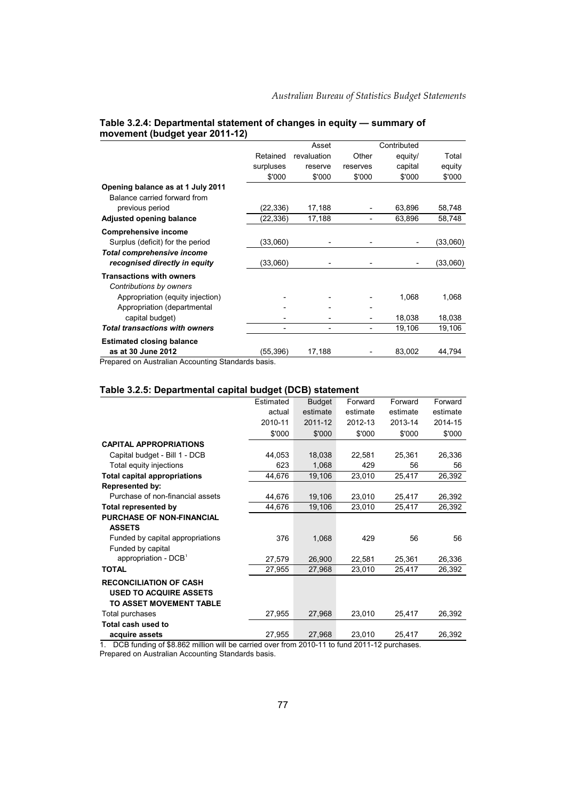|                                                                           |           | Asset       |          | Contributed |          |
|---------------------------------------------------------------------------|-----------|-------------|----------|-------------|----------|
|                                                                           | Retained  | revaluation | Other    | equity/     | Total    |
|                                                                           | surpluses | reserve     | reserves | capital     | equity   |
|                                                                           | \$'000    | \$'000      | \$'000   | \$'000      | \$'000   |
| Opening balance as at 1 July 2011                                         |           |             |          |             |          |
| Balance carried forward from<br>previous period                           | (22, 336) | 17,188      |          | 63,896      | 58,748   |
| <b>Adjusted opening balance</b>                                           | (22, 336) | 17,188      |          | 63,896      | 58,748   |
| <b>Comprehensive income</b>                                               |           |             |          |             |          |
| Surplus (deficit) for the period                                          | (33,060)  |             |          |             | (33,060) |
| <b>Total comprehensive income</b>                                         |           |             |          |             |          |
| recognised directly in equity                                             | (33,060)  |             |          |             | (33,060) |
| <b>Transactions with owners</b>                                           |           |             |          |             |          |
| Contributions by owners                                                   |           |             |          |             |          |
| Appropriation (equity injection)                                          |           |             |          | 1,068       | 1,068    |
| Appropriation (departmental                                               |           |             |          |             |          |
| capital budget)                                                           |           |             | -        | 18,038      | 18,038   |
| <b>Total transactions with owners</b>                                     |           |             |          | 19,106      | 19,106   |
| <b>Estimated closing balance</b>                                          |           |             |          |             |          |
| as at 30 June 2012<br>Description Advised by Alexandre Other Jacobs Lines | (55, 396) | 17,188      |          | 83,002      | 44,794   |

#### **Table 3.2.4: Departmental statement of changes in equity — summary of movement (budget year 2011-12)**

Prepared on Australian Accounting Standards basis.

#### **Table 3.2.5: Departmental capital budget (DCB) statement**

|                                     | Estimated | <b>Budget</b> | Forward  | Forward  | Forward  |
|-------------------------------------|-----------|---------------|----------|----------|----------|
|                                     | actual    | estimate      | estimate | estimate | estimate |
|                                     | 2010-11   | 2011-12       | 2012-13  | 2013-14  | 2014-15  |
|                                     | \$'000    | \$'000        | \$'000   | \$'000   | \$'000   |
| <b>CAPITAL APPROPRIATIONS</b>       |           |               |          |          |          |
| Capital budget - Bill 1 - DCB       | 44,053    | 18,038        | 22,581   | 25,361   | 26,336   |
| Total equity injections             | 623       | 1,068         | 429      | 56       | 56       |
| <b>Total capital appropriations</b> | 44,676    | 19,106        | 23,010   | 25,417   | 26,392   |
| <b>Represented by:</b>              |           |               |          |          |          |
| Purchase of non-financial assets    | 44,676    | 19,106        | 23,010   | 25,417   | 26,392   |
| <b>Total represented by</b>         | 44,676    | 19,106        | 23,010   | 25,417   | 26,392   |
| <b>PURCHASE OF NON-FINANCIAL</b>    |           |               |          |          |          |
| <b>ASSETS</b>                       |           |               |          |          |          |
| Funded by capital appropriations    | 376       | 1,068         | 429      | 56       | 56       |
| Funded by capital                   |           |               |          |          |          |
| appropriation - DCB <sup>1</sup>    | 27,579    | 26,900        | 22,581   | 25,361   | 26,336   |
| <b>TOTAL</b>                        | 27,955    | 27,968        | 23,010   | 25,417   | 26,392   |
| <b>RECONCILIATION OF CASH</b>       |           |               |          |          |          |
| <b>USED TO ACQUIRE ASSETS</b>       |           |               |          |          |          |
| TO ASSET MOVEMENT TABLE             |           |               |          |          |          |
| Total purchases                     | 27,955    | 27,968        | 23,010   | 25,417   | 26,392   |
| Total cash used to                  |           |               |          |          |          |
| acquire assets                      | 27,955    | 27,968        | 23,010   | 25,417   | 26,392   |

1. DCB funding of \$8.862 million will be carried over from 2010-11 to fund 2011-12 purchases.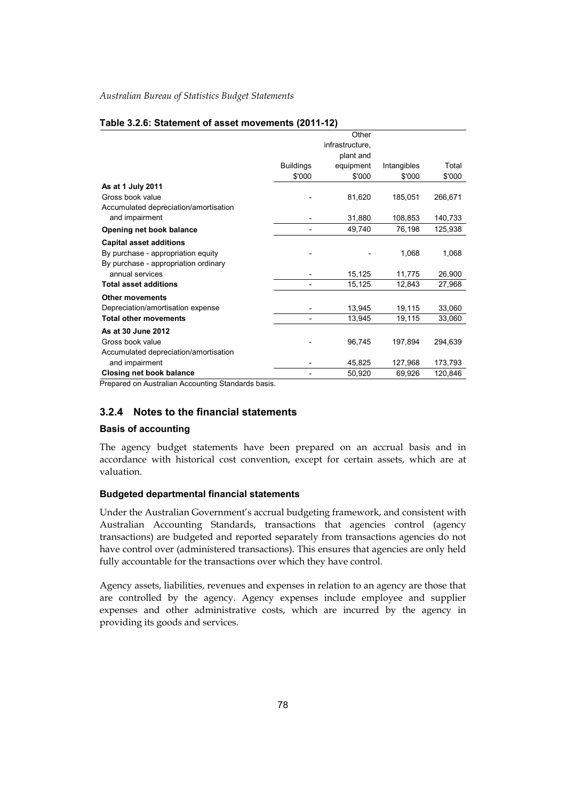#### **Table 3.2.6: Statement of asset movements (2011-12)**

|                                       |                  | Other           |             |         |
|---------------------------------------|------------------|-----------------|-------------|---------|
|                                       |                  | infrastructure, |             |         |
|                                       |                  | plant and       |             |         |
|                                       | <b>Buildings</b> | equipment       | Intangibles | Total   |
|                                       | \$'000           | \$'000          | \$'000      | \$'000  |
| As at 1 July 2011                     |                  |                 |             |         |
| Gross book value                      |                  | 81,620          | 185,051     | 266,671 |
| Accumulated depreciation/amortisation |                  |                 |             |         |
| and impairment                        |                  | 31,880          | 108,853     | 140,733 |
| Opening net book balance              |                  | 49,740          | 76,198      | 125,938 |
| <b>Capital asset additions</b>        |                  |                 |             |         |
| By purchase - appropriation equity    |                  |                 | 1,068       | 1,068   |
| By purchase - appropriation ordinary  |                  |                 |             |         |
| annual services                       |                  | 15,125          | 11,775      | 26,900  |
| <b>Total asset additions</b>          |                  | 15,125          | 12,843      | 27,968  |
| <b>Other movements</b>                |                  |                 |             |         |
| Depreciation/amortisation expense     |                  | 13,945          | 19,115      | 33,060  |
| <b>Total other movements</b>          |                  | 13,945          | 19,115      | 33,060  |
| As at 30 June 2012                    |                  |                 |             |         |
| Gross book value                      |                  | 96,745          | 197,894     | 294,639 |
| Accumulated depreciation/amortisation |                  |                 |             |         |
| and impairment                        |                  | 45,825          | 127,968     | 173,793 |
| <b>Closing net book balance</b>       |                  | 50,920          | 69,926      | 120,846 |

Prepared on Australian Accounting Standards basis.

## **3.2.4 Notes to the financial statements**

#### **Basis of accounting**

The agency budget statements have been prepared on an accrual basis and in accordance with historical cost convention, except for certain assets, which are at valuation.

### **Budgeted departmental financial statements**

Under the Australian Government's accrual budgeting framework, and consistent with Australian Accounting Standards, transactions that agencies control (agency transactions) are budgeted and reported separately from transactions agencies do not have control over (administered transactions). This ensures that agencies are only held fully accountable for the transactions over which they have control.

Agency assets, liabilities, revenues and expenses in relation to an agency are those that are controlled by the agency. Agency expenses include employee and supplier expenses and other administrative costs, which are incurred by the agency in providing its goods and services.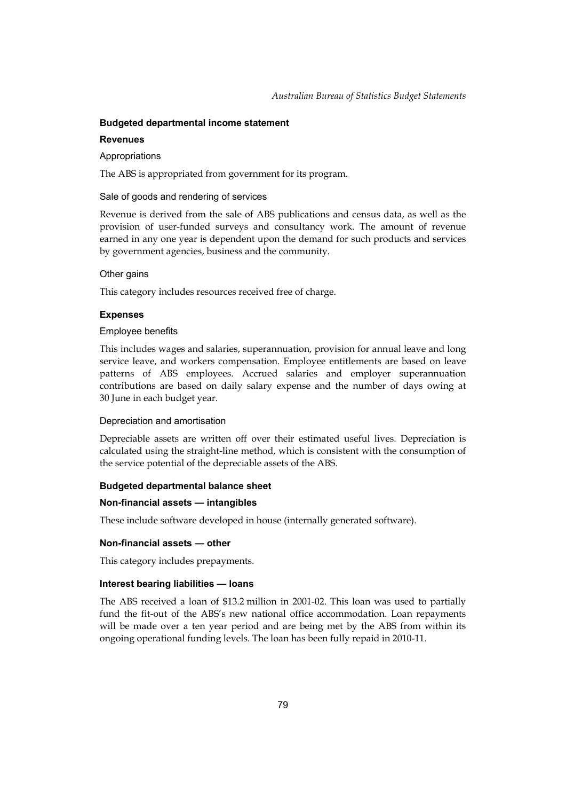## **Budgeted departmental income statement**

### **Revenues**

## Appropriations

The ABS is appropriated from government for its program.

## Sale of goods and rendering of services

Revenue is derived from the sale of ABS publications and census data, as well as the provision of user-funded surveys and consultancy work. The amount of revenue earned in any one year is dependent upon the demand for such products and services by government agencies, business and the community.

## Other gains

This category includes resources received free of charge.

## **Expenses**

## Employee benefits

This includes wages and salaries, superannuation, provision for annual leave and long service leave, and workers compensation. Employee entitlements are based on leave patterns of ABS employees. Accrued salaries and employer superannuation contributions are based on daily salary expense and the number of days owing at 30 June in each budget year.

## Depreciation and amortisation

Depreciable assets are written off over their estimated useful lives. Depreciation is calculated using the straight-line method, which is consistent with the consumption of the service potential of the depreciable assets of the ABS.

## **Budgeted departmental balance sheet**

## **Non-financial assets — intangibles**

These include software developed in house (internally generated software).

### **Non-financial assets — other**

This category includes prepayments.

## **Interest bearing liabilities — loans**

The ABS received a loan of \$13.2 million in 2001-02. This loan was used to partially fund the fit-out of the ABS's new national office accommodation. Loan repayments will be made over a ten year period and are being met by the ABS from within its ongoing operational funding levels. The loan has been fully repaid in 2010-11.